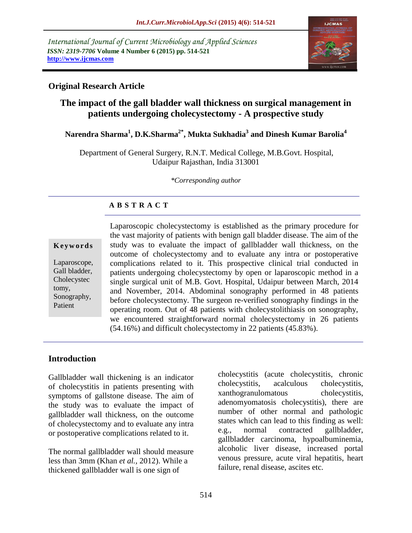*International Journal of Current Microbiology and Applied Sciences ISSN: 2319-7706* **Volume 4 Number 6 (2015) pp. 514-521 http://www.ijcmas.com**



#### **Original Research Article**

# **The impact of the gall bladder wall thickness on surgical management in patients undergoing cholecystectomy - A prospective study**

## **Narendra Sharma<sup>1</sup> , D.K.Sharma2\* , Mukta Sukhadia<sup>3</sup> and Dinesh Kumar Barolia<sup>4</sup>**

Department of General Surgery, R.N.T. Medical College, M.B.Govt. Hospital, Udaipur Rajasthan, India 313001

*\*Corresponding author*

## **A B S T R A C T**

#### **K e y w o r d s**

Laparoscope, Gall bladder, Cholecystec tomy, Sonography, Patient

Laparoscopic cholecystectomy is established as the primary procedure for the vast majority of patients with benign gall bladder disease. The aim of the study was to evaluate the impact of gallbladder wall thickness, on the outcome of cholecystectomy and to evaluate any intra or postoperative complications related to it. This prospective clinical trial conducted in patients undergoing cholecystectomy by open or laparoscopic method in a single surgical unit of M.B. Govt. Hospital, Udaipur between March, 2014 and November, 2014. Abdominal sonography performed in 48 patients before cholecystectomy. The surgeon re-verified sonography findings in the operating room. Out of 48 patients with cholecystolithiasis on sonography, we encountered straightforward normal cholecystectomy in 26 patients (54.16%) and difficult cholecystectomy in 22 patients (45.83%).

## **Introduction**

Gallbladder wall thickening is an indicator of cholecystitis in patients presenting with symptoms of gallstone disease. The aim of the study was to evaluate the impact of gallbladder wall thickness, on the outcome of cholecystectomy and to evaluate any intra or postoperative complications related to it.

The normal gallbladder wall should measure less than 3mm (Khan *et al.,* 2012). While a thickened gallbladder wall is one sign of

cholecystitis (acute cholecystitis, chronic cholecystitis, acalculous cholecystitis, xanthogranulomatous cholecystitis, adenomyomatosis cholecystitis), there are number of other normal and pathologic states which can lead to this finding as well: e.g., normal contracted gallbladder, gallbladder carcinoma, hypoalbuminemia, alcoholic liver disease, increased portal venous pressure, acute viral hepatitis, heart failure, renal disease, ascites etc.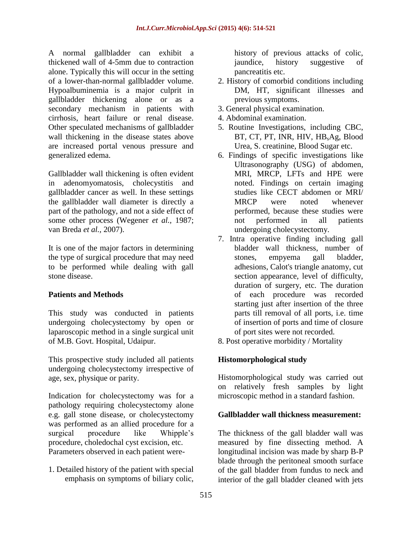A normal gallbladder can exhibit a thickened wall of 4-5mm due to contraction alone. Typically this will occur in the setting of a lower-than-normal gallbladder volume. Hypoalbuminemia is a major culprit in gallbladder thickening alone or as a secondary mechanism in patients with cirrhosis, heart failure or renal disease. Other speculated mechanisms of gallbladder wall thickening in the disease states above are increased portal venous pressure and generalized edema.

Gallbladder wall thickening is often evident in adenomyomatosis, cholecystitis and gallbladder cancer as well. In these settings the gallbladder wall diameter is directly a part of the pathology, and not a side effect of some other process (Wegener *et al.,* 1987; van Breda *et al.,* 2007).

It is one of the major factors in determining the type of surgical procedure that may need to be performed while dealing with gall stone disease.

# **Patients and Methods**

This study was conducted in patients undergoing cholecystectomy by open or laparoscopic method in a single surgical unit of M.B. Govt. Hospital, Udaipur.

This prospective study included all patients undergoing cholecystectomy irrespective of age, sex, physique or parity.

Indication for cholecystectomy was for a pathology requiring cholecystectomy alone e.g. gall stone disease, or cholecystectomy was performed as an allied procedure for a surgical procedure like Whipple's procedure, choledochal cyst excision, etc. Parameters observed in each patient were-

1. Detailed history of the patient with special emphasis on symptoms of biliary colic,

history of previous attacks of colic, jaundice, history suggestive of pancreatitis etc.

- 2. History of comorbid conditions including DM, HT, significant illnesses and previous symptoms.
- 3. General physical examination.
- 4. Abdominal examination.
- 5. Routine Investigations, including CBC, BT, CT, PT, INR, HIV, HB<sub>s</sub>Ag, Blood Urea, S. creatinine, Blood Sugar etc.
- 6. Findings of specific investigations like Ultrasonography (USG) of abdomen, MRI, MRCP, LFTs and HPE were noted. Findings on certain imaging studies like CECT abdomen or MRI/ MRCP were noted whenever performed, because these studies were not performed in all patients undergoing cholecystectomy.
- 7. Intra operative finding including gall bladder wall thickness, number of stones, empyema gall bladder, adhesions, Calot's triangle anatomy, cut section appearance, level of difficulty, duration of surgery, etc. The duration of each procedure was recorded starting just after insertion of the three parts till removal of all ports, i.e. time of insertion of ports and time of closure of port sites were not recorded.

8. Post operative morbidity / Mortality

## **Histomorphological study**

Histomorphological study was carried out on relatively fresh samples by light microscopic method in a standard fashion.

## **Gallbladder wall thickness measurement:**

The thickness of the gall bladder wall was measured by fine dissecting method. A longitudinal incision was made by sharp B-P blade through the peritoneal smooth surface of the gall bladder from fundus to neck and interior of the gall bladder cleaned with jets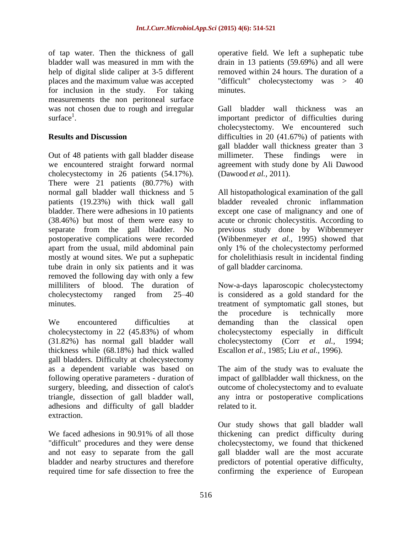of tap water. Then the thickness of gall bladder wall was measured in mm with the help of digital slide caliper at 3-5 different places and the maximum value was accepted for inclusion in the study. For taking measurements the non peritoneal surface was not chosen due to rough and irregular surface<sup>1</sup>.

## **Results and Discussion**

Out of 48 patients with gall bladder disease we encountered straight forward normal cholecystectomy in 26 patients (54.17%). There were 21 patients (80.77%) with normal gall bladder wall thickness and 5 patients (19.23%) with thick wall gall bladder. There were adhesions in 10 patients (38.46%) but most of them were easy to separate from the gall bladder. No postoperative complications were recorded apart from the usual, mild abdominal pain mostly at wound sites. We put a suphepatic tube drain in only six patients and it was removed the following day with only a few milliliters of blood. The duration of cholecystectomy ranged from 25–40 minutes.

We encountered difficulties at cholecystectomy in 22 (45.83%) of whom (31.82%) has normal gall bladder wall thickness while (68.18%) had thick walled gall bladders. Difficulty at cholecystectomy as a dependent variable was based on following operative parameters - duration of surgery, bleeding, and dissection of calot's triangle, dissection of gall bladder wall, adhesions and difficulty of gall bladder extraction.

We faced adhesions in 90.91% of all those "difficult" procedures and they were dense and not easy to separate from the gall bladder and nearby structures and therefore required time for safe dissection to free the

operative field. We left a suphepatic tube drain in 13 patients (59.69%) and all were removed within 24 hours. The duration of a "difficult" cholecystectomy was > 40 minutes.

Gall bladder wall thickness was an important predictor of difficulties during cholecystectomy. We encountered such difficulties in 20 (41.67%) of patients with gall bladder wall thickness greater than 3 millimeter. These findings were in agreement with study done by Ali Dawood (Dawood *et al.,* 2011).

All histopathological examination of the gall bladder revealed chronic inflammation except one case of malignancy and one of acute or chronic cholecystitis. According to previous study done by Wibbenmeyer (Wibbenmeyer *et al.,* 1995) showed that only 1% of the cholecystectomy performed for cholelithiasis result in incidental finding of gall bladder carcinoma.

Now-a-days laparoscopic cholecystectomy is considered as a gold standard for the treatment of symptomatic gall stones, but the procedure is technically more demanding than the classical open cholecystectomy especially in difficult cholecystectomy (Corr *et al.,* 1994; Escallon *et al.,* 1985; Liu *et al.,* 1996).

The aim of the study was to evaluate the impact of gallbladder wall thickness, on the outcome of cholecystectomy and to evaluate any intra or postoperative complications related to it.

Our study shows that gall bladder wall thickening can predict difficulty during cholecystectomy, we found that thickened gall bladder wall are the most accurate predictors of potential operative difficulty, confirming the experience of European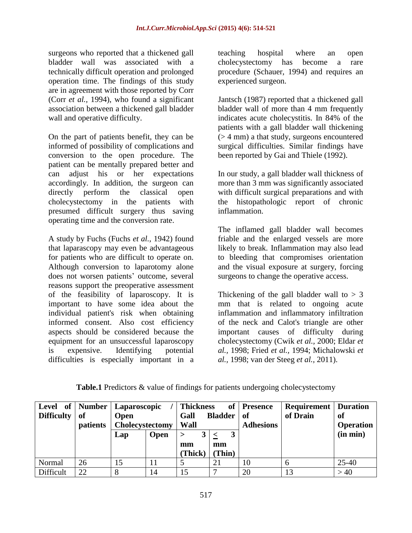surgeons who reported that a thickened gall bladder wall was associated with a technically difficult operation and prolonged operation time. The findings of this study are in agreement with those reported by Corr (Corr *et al.,* 1994), who found a significant association between a thickened gall bladder wall and operative difficulty.

On the part of patients benefit, they can be informed of possibility of complications and conversion to the open procedure. The patient can be mentally prepared better and can adjust his or her expectations accordingly. In addition, the surgeon can directly perform the classical open cholecystectomy in the patients with presumed difficult surgery thus saving operating time and the conversion rate.

A study by Fuchs (Fuchs *et al.,* 1942) found that laparascopy may even be advantageous for patients who are difficult to operate on. Although conversion to laparotomy alone does not worsen patients' outcome, several reasons support the preoperative assessment of the feasibility of laparoscopy. It is important to have some idea about the individual patient's risk when obtaining informed consent. Also cost efficiency aspects should be considered because the equipment for an unsuccessful laparoscopy is expensive. Identifying potential difficulties is especially important in a teaching hospital where an open cholecystectomy has become a rare procedure (Schauer, 1994) and requires an experienced surgeon.

Jantsch (1987) reported that a thickened gall bladder wall of more than 4 mm frequently indicates acute cholecystitis. In 84% of the patients with a gall bladder wall thickening (> 4 mm) a that study, surgeons encountered surgical difficulties. Similar findings have been reported by Gai and Thiele (1992).

In our study, a gall bladder wall thickness of more than 3 mm was significantly associated with difficult surgical preparations and with the histopathologic report of chronic inflammation.

The inflamed gall bladder wall becomes friable and the enlarged vessels are more likely to break. Inflammation may also lead to bleeding that compromises orientation and the visual exposure at surgery, forcing surgeons to change the operative access.

Thickening of the gall bladder wall to  $> 3$ mm that is related to ongoing acute inflammation and inflammatory infiltration of the neck and Calot's triangle are other important causes of difficulty during cholecystectomy (Cwik *et al.,* 2000; Eldar *et al.,* 1998; Fried *et al.,* 1994; Michalowski *et al.,* 1998; van der Steeg *et al.,* 2011).

| <b>Level</b><br><b>Difficulty</b> | of   Number  <br>of<br>patients | Laparoscopic<br><b>Open</b><br>Cholecystectomy |             | <b>Thickness</b><br>of<br><b>Bladder</b><br>Gall<br>Wall |        | <b>Presence</b><br>- of<br><b>Adhesions</b> | <b>Requirement</b>   Duration<br>of Drain | of<br><b>Operation</b> |
|-----------------------------------|---------------------------------|------------------------------------------------|-------------|----------------------------------------------------------|--------|---------------------------------------------|-------------------------------------------|------------------------|
|                                   |                                 | Lap                                            | <b>Open</b> | >                                                        |        |                                             |                                           | (in min)               |
|                                   |                                 |                                                |             | mm                                                       | mm     |                                             |                                           |                        |
|                                   |                                 |                                                |             | (Thick)                                                  | (Thin) |                                             |                                           |                        |
| Normal                            | 26                              | 15                                             | 11          |                                                          | 21     | 10                                          | O                                         | $25 - 40$              |
| Difficult                         | 22                              |                                                | 14          |                                                          |        | 20                                          |                                           | >40                    |

|  |  | <b>Table.1</b> Predictors & value of findings for patients undergoing cholecystectomy |
|--|--|---------------------------------------------------------------------------------------|
|--|--|---------------------------------------------------------------------------------------|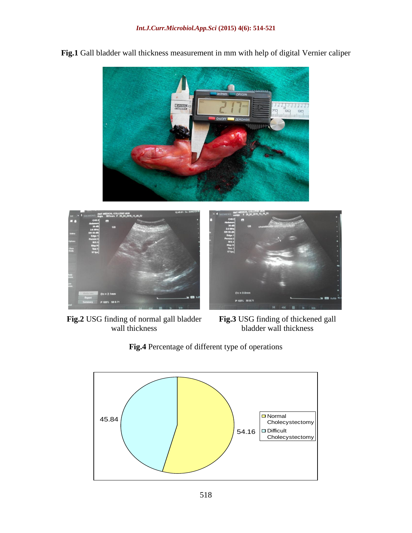

**Fig.1** Gall bladder wall thickness measurement in mm with help of digital Vernier caliper



**Fig.2** USG finding of normal gall bladder wall thickness

**Fig.3** USG finding of thickened gall bladder wall thickness



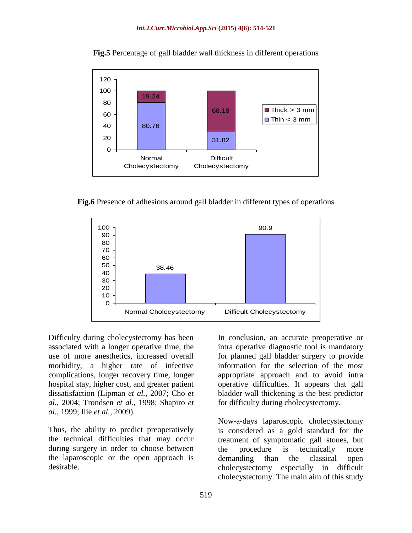

**Fig.5** Percentage of gall bladder wall thickness in different operations

**Fig.6** Presence of adhesions around gall bladder in different types of operations



Difficulty during cholecystectomy has been associated with a longer operative time, the use of more anesthetics, increased overall morbidity, a higher rate of infective complications, longer recovery time, longer hospital stay, higher cost, and greater patient dissatisfaction (Lipman *et al.,* 2007; Cho *et al.,* 2004; Trondsen *et al.,* 1998; Shapiro *et al.,* 1999; Ilie *et al.,* 2009).

Thus, the ability to predict preoperatively the technical difficulties that may occur during surgery in order to choose between the laparoscopic or the open approach is desirable.

In conclusion, an accurate preoperative or intra operative diagnostic tool is mandatory for planned gall bladder surgery to provide information for the selection of the most appropriate approach and to avoid intra operative difficulties. It appears that gall bladder wall thickening is the best predictor for difficulty during cholecystectomy.

Now-a-days laparoscopic cholecystectomy is considered as a gold standard for the treatment of symptomatic gall stones, but the procedure is technically more demanding than the classical open cholecystectomy especially in difficult cholecystectomy. The main aim of this study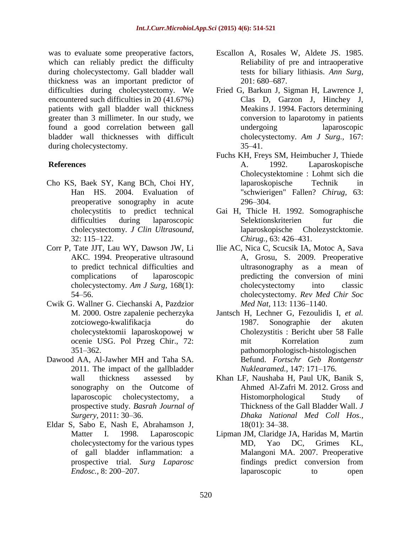was to evaluate some preoperative factors, which can reliably predict the difficulty during cholecystectomy. Gall bladder wall thickness was an important predictor of difficulties during cholecystectomy. We encountered such difficulties in 20 (41.67%) patients with gall bladder wall thickness greater than 3 millimeter. In our study, we found a good correlation between gall bladder wall thicknesses with difficult during cholecystectomy.

#### **References**

- Cho KS, Baek SY, Kang BCh, Choi HY, Han HS. 2004. Evaluation of preoperative sonography in acute cholecystitis to predict technical difficulties during laparoscopic cholecystectomy. *J Clin Ultrasound,* 32: 115–122.
- Corr P, Tate JJT, Lau WY, Dawson JW, Li AKC. 1994. Preoperative ultrasound to predict technical difficulties and complications of laparoscopic cholecystectomy. *Am J Surg,* 168(1): 54–56.
- Cwik G. Wallner G. Ciechanski A, Pazdzior M. 2000. Ostre zapalenie pecherzyka zotciowego-kwalifikacja do cholecystektomii laparoskopowej w ocenie USG. Pol Przeg Chir., 72: 351–362.
- Dawood AA, Al-Jawher MH and Taha SA. 2011. The impact of the gallbladder wall thickness assessed by sonography on the Outcome of laparoscopic cholecystectomy, a prospective study. *Basrah Journal of Surgery,* 2011: 30–36.
- Eldar S, Sabo E, Nash E, Abrahamson J, Matter I. 1998. Laparoscopic cholecystectomy for the various types of gall bladder inflammation: a prospective trial. *Surg Laparosc Endosc.,* 8: 200–207.
- Escallon A, Rosales W, Aldete JS. 1985. Reliability of pre and intraoperative tests for biliary lithiasis. *Ann Surg,* 201: 680–687.
- Fried G, Barkun J, Sigman H, Lawrence J, Clas D, Garzon J, Hinchey J, Meakins J. 1994. Factors determining conversion to laparotomy in patients undergoing laparoscopic cholecystectomy. *Am J Surg.,* 167: 35–41.
- Fuchs KH, Freys SM, Heimbucher J, Thiede A. 1992. Laparoskopische Cholecystektomine : Lohmt sich die laparoskopische Technik in "schwierigen" Fallen? *Chirug,* 63: 296–304.
- Gai H, Thicle H. 1992. Somographische Selektionskriterien fur die laparoskopische Cholezystcktomie. *Chirug.,* 63: 426–431.
- Ilie AC, Nica C, Scucsik IA, Motoc A, Sava A, Grosu, S. 2009. Preoperative ultrasonography as a mean of predicting the conversion of mini cholecystectomy into classic cholecystectomy. *Rev Med Chir Soc Med Nat,* 113: 1136–1140.
- Jantsch H, Lechner G, Fezoulidis I, *et al.*  1987. Sonographie der akuten Cholezystitis : Bericht uber 58 Falle mit Korrelation zum pathomorphologisch-histologischen Befund. *Fortschr Geb Rontgenstr Nuklearamed.,* 147: 171–176.
- Khan LF, Naushaba H, Paul UK, Banik S, Ahmed Al-Zafri M. 2012. Gross and Histomorphological Study of Thickness of the Gall Bladder Wall. *J Dhaka National Med Coll Hos.,* 18(01): 34–38.
- Lipman JM, Claridge JA, Haridas M, Martin MD, Yao DC, Grimes KL, Malangoni MA. 2007. Preoperative findings predict conversion from laparoscopic to open